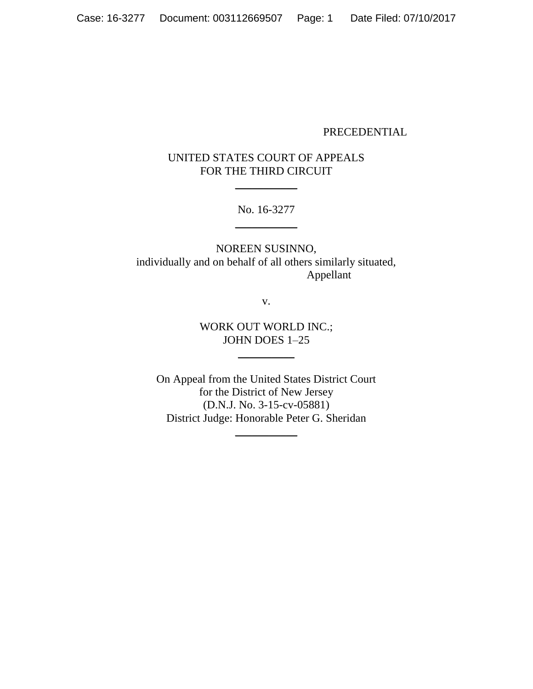### PRECEDENTIAL

# UNITED STATES COURT OF APPEALS FOR THE THIRD CIRCUIT

 $\mathcal{L}=\mathcal{L}$  , we have the set of the set of the set of the set of the set of the set of the set of the set of the set of the set of the set of the set of the set of the set of the set of the set of the set of the set o

No. 16-3277  $\overline{\phantom{a}}$  , where  $\overline{\phantom{a}}$ 

NOREEN SUSINNO, individually and on behalf of all others similarly situated, Appellant

v.

## WORK OUT WORLD INC.; JOHN DOES 1–25

 $\overline{\phantom{a}}$ 

On Appeal from the United States District Court for the District of New Jersey (D.N.J. No. 3-15-cv-05881) District Judge: Honorable Peter G. Sheridan

 $\overline{\phantom{a}}$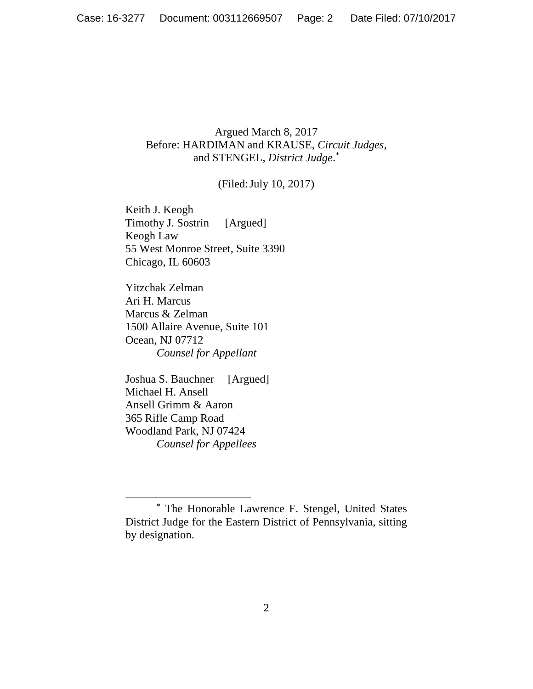## Argued March 8, 2017 Before: HARDIMAN and KRAUSE, *Circuit Judges*, and STENGEL, *District Judge*. \*

# (Filed:July 10, 2017)

Keith J. Keogh Timothy J. Sostrin [Argued] Keogh Law 55 West Monroe Street, Suite 3390 Chicago, IL 60603

Yitzchak Zelman Ari H. Marcus Marcus & Zelman 1500 Allaire Avenue, Suite 101 Ocean, NJ 07712 *Counsel for Appellant*

Joshua S. Bauchner [Argued] Michael H. Ansell Ansell Grimm & Aaron 365 Rifle Camp Road Woodland Park, NJ 07424 *Counsel for Appellees*

<sup>\*</sup> The Honorable Lawrence F. Stengel, United States District Judge for the Eastern District of Pennsylvania, sitting by designation.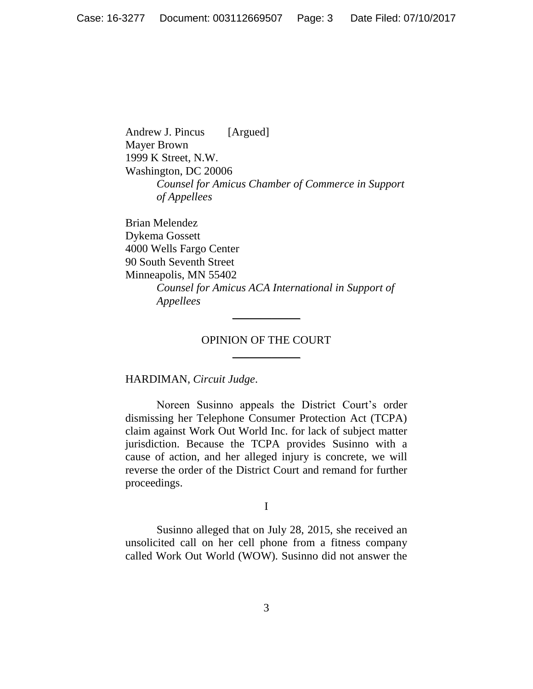Andrew J. Pincus [Argued] Mayer Brown 1999 K Street, N.W. Washington, DC 20006 *Counsel for Amicus Chamber of Commerce in Support of Appellees*

Brian Melendez Dykema Gossett 4000 Wells Fargo Center 90 South Seventh Street Minneapolis, MN 55402 *Counsel for Amicus ACA International in Support of Appellees*

### OPINION OF THE COURT \_\_\_\_\_\_\_\_\_\_\_\_

 $\frac{1}{2}$ 

HARDIMAN, *Circuit Judge*.

Noreen Susinno appeals the District Court's order dismissing her Telephone Consumer Protection Act (TCPA) claim against Work Out World Inc. for lack of subject matter jurisdiction. Because the TCPA provides Susinno with a cause of action, and her alleged injury is concrete, we will reverse the order of the District Court and remand for further proceedings.

I

Susinno alleged that on July 28, 2015, she received an unsolicited call on her cell phone from a fitness company called Work Out World (WOW). Susinno did not answer the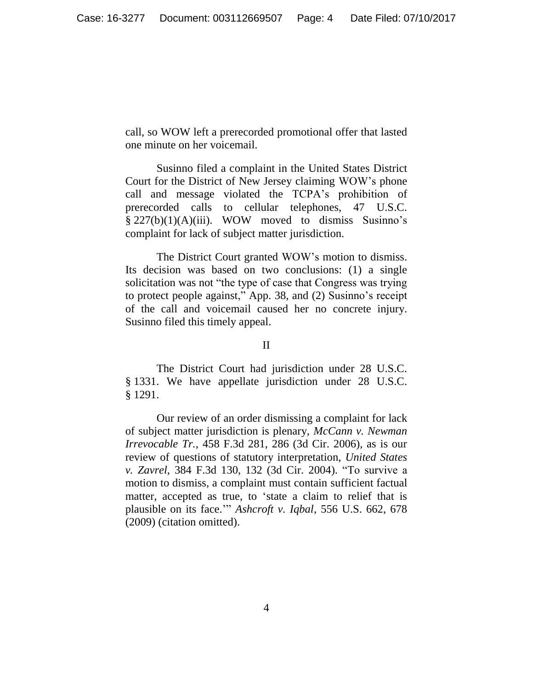call, so WOW left a prerecorded promotional offer that lasted one minute on her voicemail.

Susinno filed a complaint in the United States District Court for the District of New Jersey claiming WOW's phone call and message violated the TCPA's prohibition of prerecorded calls to cellular telephones, 47 U.S.C. § 227(b)(1)(A)(iii). WOW moved to dismiss Susinno's complaint for lack of subject matter jurisdiction.

The District Court granted WOW's motion to dismiss. Its decision was based on two conclusions: (1) a single solicitation was not "the type of case that Congress was trying to protect people against," App. 38, and (2) Susinno's receipt of the call and voicemail caused her no concrete injury. Susinno filed this timely appeal.

#### II

The District Court had jurisdiction under 28 U.S.C. § 1331. We have appellate jurisdiction under 28 U.S.C. § 1291.

Our review of an order dismissing a complaint for lack of subject matter jurisdiction is plenary, *McCann v. Newman Irrevocable Tr.*, 458 F.3d 281, 286 (3d Cir. 2006), as is our review of questions of statutory interpretation, *United States v. Zavrel*, 384 F.3d 130, 132 (3d Cir. 2004). "To survive a motion to dismiss, a complaint must contain sufficient factual matter, accepted as true, to 'state a claim to relief that is plausible on its face.'" *Ashcroft v. Iqbal*, 556 U.S. 662, 678 (2009) (citation omitted).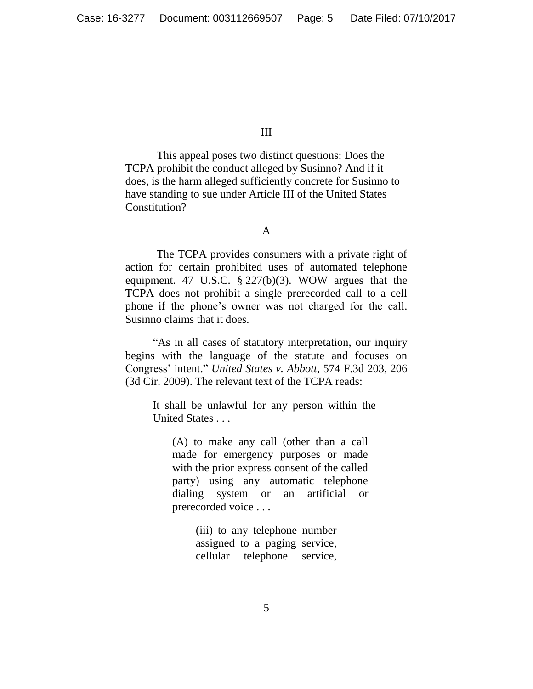III

This appeal poses two distinct questions: Does the TCPA prohibit the conduct alleged by Susinno? And if it does, is the harm alleged sufficiently concrete for Susinno to have standing to sue under Article III of the United States Constitution?

A

The TCPA provides consumers with a private right of action for certain prohibited uses of automated telephone equipment. 47 U.S.C. § 227(b)(3). WOW argues that the TCPA does not prohibit a single prerecorded call to a cell phone if the phone's owner was not charged for the call. Susinno claims that it does.

"As in all cases of statutory interpretation, our inquiry begins with the language of the statute and focuses on Congress' intent." *United States v. Abbott*, 574 F.3d 203, 206 (3d Cir. 2009). The relevant text of the TCPA reads:

It shall be unlawful for any person within the United States . . .

(A) to make any call (other than a call made for emergency purposes or made with the prior express consent of the called party) using any automatic telephone dialing system or an artificial or prerecorded voice . . .

> (iii) to any telephone number assigned to a paging service, cellular telephone service,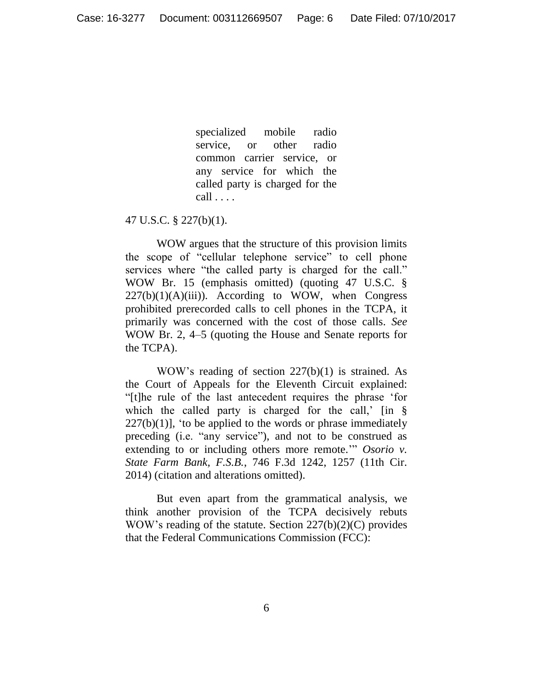specialized mobile radio service, or other radio common carrier service, or any service for which the called party is charged for the call . . . .

#### 47 U.S.C. § 227(b)(1).

WOW argues that the structure of this provision limits the scope of "cellular telephone service" to cell phone services where "the called party is charged for the call." WOW Br. 15 (emphasis omitted) (quoting 47 U.S.C. §  $227(b)(1)(A)(iii)$ . According to WOW, when Congress prohibited prerecorded calls to cell phones in the TCPA, it primarily was concerned with the cost of those calls. *See*  WOW Br. 2, 4–5 (quoting the House and Senate reports for the TCPA).

WOW's reading of section 227(b)(1) is strained. As the Court of Appeals for the Eleventh Circuit explained: "[t]he rule of the last antecedent requires the phrase 'for which the called party is charged for the call,'  $\left| \text{in } \S \right|$  $227(b)(1)$ , 'to be applied to the words or phrase immediately preceding (i.e. "any service"), and not to be construed as extending to or including others more remote.'" *Osorio v. State Farm Bank, F.S.B.*, 746 F.3d 1242, 1257 (11th Cir. 2014) (citation and alterations omitted).

But even apart from the grammatical analysis, we think another provision of the TCPA decisively rebuts WOW's reading of the statute. Section 227(b)(2)(C) provides that the Federal Communications Commission (FCC):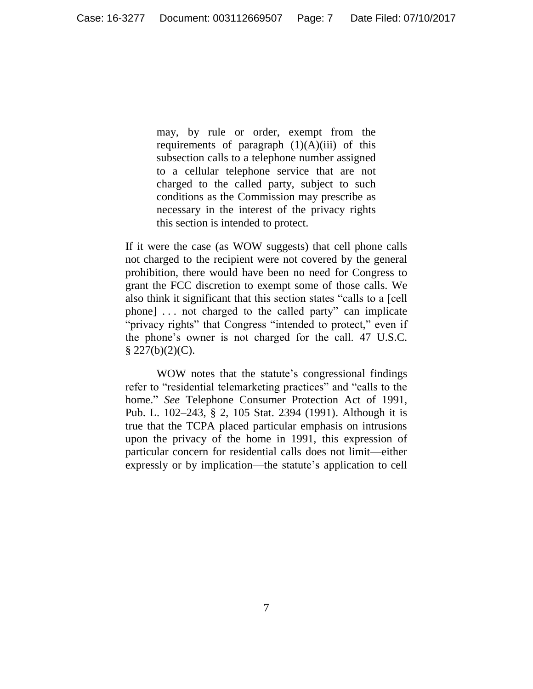may, by rule or order, exempt from the requirements of paragraph  $(1)(A)(iii)$  of this subsection calls to a telephone number assigned to a cellular telephone service that are not charged to the called party, subject to such conditions as the Commission may prescribe as necessary in the interest of the privacy rights this section is intended to protect.

If it were the case (as WOW suggests) that cell phone calls not charged to the recipient were not covered by the general prohibition, there would have been no need for Congress to grant the FCC discretion to exempt some of those calls. We also think it significant that this section states "calls to a [cell phone] . . . not charged to the called party" can implicate "privacy rights" that Congress "intended to protect," even if the phone's owner is not charged for the call. 47 U.S.C.  $§$  227(b)(2)(C).

WOW notes that the statute's congressional findings refer to "residential telemarketing practices" and "calls to the home." *See* Telephone Consumer Protection Act of 1991, Pub. L. 102–243, § 2, 105 Stat. 2394 (1991). Although it is true that the TCPA placed particular emphasis on intrusions upon the privacy of the home in 1991, this expression of particular concern for residential calls does not limit—either expressly or by implication—the statute's application to cell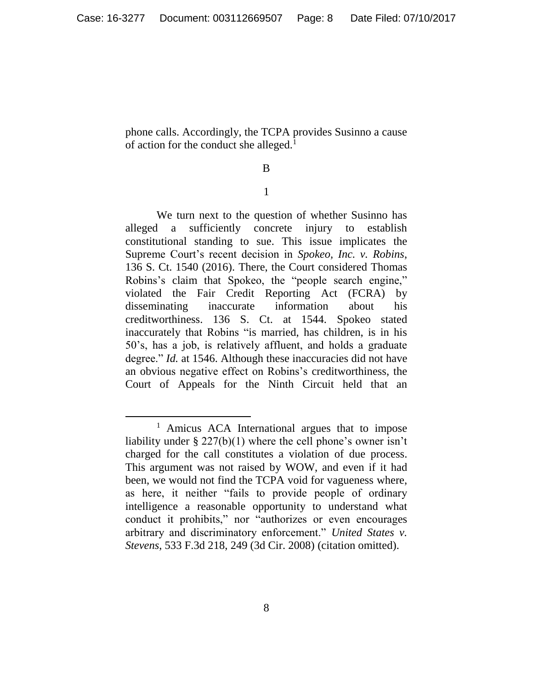phone calls. Accordingly, the TCPA provides Susinno a cause of action for the conduct she alleged.<sup>1</sup>

## B

### 1

We turn next to the question of whether Susinno has alleged a sufficiently concrete injury to establish constitutional standing to sue. This issue implicates the Supreme Court's recent decision in *Spokeo, Inc. v. Robins*, 136 S. Ct. 1540 (2016). There, the Court considered Thomas Robins's claim that Spokeo, the "people search engine," violated the Fair Credit Reporting Act (FCRA) by disseminating inaccurate information about his creditworthiness. 136 S. Ct. at 1544. Spokeo stated inaccurately that Robins "is married, has children, is in his 50's, has a job, is relatively affluent, and holds a graduate degree." *Id.* at 1546. Although these inaccuracies did not have an obvious negative effect on Robins's creditworthiness, the Court of Appeals for the Ninth Circuit held that an

<sup>&</sup>lt;sup>1</sup> Amicus ACA International argues that to impose liability under § 227(b)(1) where the cell phone's owner isn't charged for the call constitutes a violation of due process. This argument was not raised by WOW, and even if it had been, we would not find the TCPA void for vagueness where, as here, it neither "fails to provide people of ordinary intelligence a reasonable opportunity to understand what conduct it prohibits," nor "authorizes or even encourages arbitrary and discriminatory enforcement." *United States v. Stevens*, 533 F.3d 218, 249 (3d Cir. 2008) (citation omitted).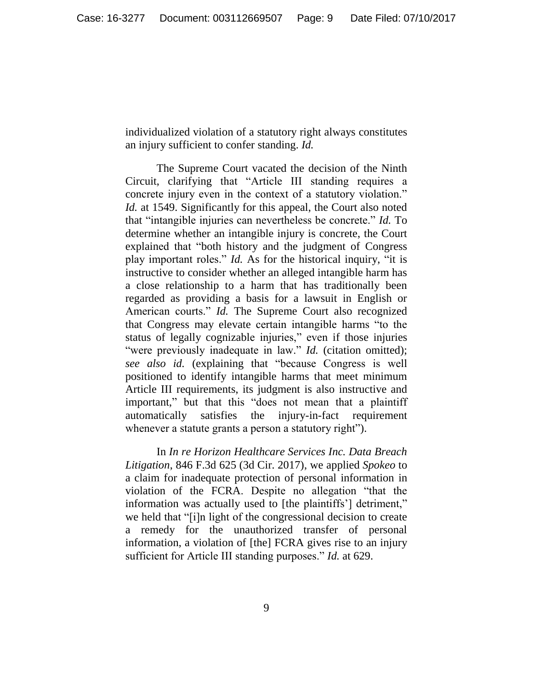individualized violation of a statutory right always constitutes an injury sufficient to confer standing. *Id.*

The Supreme Court vacated the decision of the Ninth Circuit, clarifying that "Article III standing requires a concrete injury even in the context of a statutory violation." *Id.* at 1549. Significantly for this appeal, the Court also noted that "intangible injuries can nevertheless be concrete." *Id.* To determine whether an intangible injury is concrete, the Court explained that "both history and the judgment of Congress play important roles." *Id.* As for the historical inquiry, "it is instructive to consider whether an alleged intangible harm has a close relationship to a harm that has traditionally been regarded as providing a basis for a lawsuit in English or American courts." *Id.* The Supreme Court also recognized that Congress may elevate certain intangible harms "to the status of legally cognizable injuries," even if those injuries "were previously inadequate in law." *Id.* (citation omitted); *see also id.* (explaining that "because Congress is well positioned to identify intangible harms that meet minimum Article III requirements, its judgment is also instructive and important," but that this "does not mean that a plaintiff automatically satisfies the injury-in-fact requirement whenever a statute grants a person a statutory right").

In *In re Horizon Healthcare Services Inc. Data Breach Litigation*, 846 F.3d 625 (3d Cir. 2017), we applied *Spokeo* to a claim for inadequate protection of personal information in violation of the FCRA. Despite no allegation "that the information was actually used to [the plaintiffs'] detriment," we held that "[i]n light of the congressional decision to create a remedy for the unauthorized transfer of personal information, a violation of [the] FCRA gives rise to an injury sufficient for Article III standing purposes." *Id.* at 629.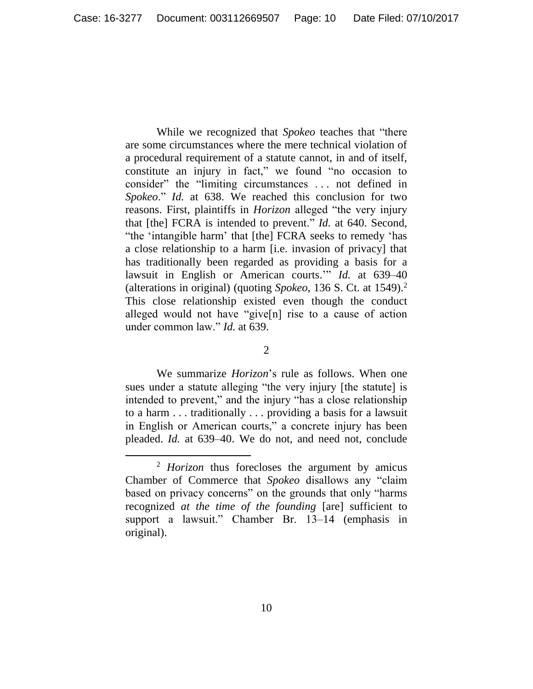While we recognized that *Spokeo* teaches that "there are some circumstances where the mere technical violation of a procedural requirement of a statute cannot, in and of itself, constitute an injury in fact," we found "no occasion to consider" the "limiting circumstances . . . not defined in *Spokeo*." *Id.* at 638. We reached this conclusion for two reasons. First, plaintiffs in *Horizon* alleged "the very injury that [the] FCRA is intended to prevent." *Id.* at 640. Second, "the 'intangible harm' that [the] FCRA seeks to remedy 'has a close relationship to a harm [i.e. invasion of privacy] that has traditionally been regarded as providing a basis for a lawsuit in English or American courts.'" *Id.* at 639–40 (alterations in original) (quoting *Spokeo*, 136 S. Ct. at 1549).<sup>2</sup> This close relationship existed even though the conduct alleged would not have "give[n] rise to a cause of action under common law." *Id.* at 639.

2

We summarize *Horizon*'s rule as follows. When one sues under a statute alleging "the very injury [the statute] is intended to prevent," and the injury "has a close relationship to a harm . . . traditionally . . . providing a basis for a lawsuit in English or American courts," a concrete injury has been pleaded. *Id.* at 639–40. We do not, and need not, conclude

<sup>2</sup> *Horizon* thus forecloses the argument by amicus Chamber of Commerce that *Spokeo* disallows any "claim based on privacy concerns" on the grounds that only "harms recognized *at the time of the founding* [are] sufficient to support a lawsuit." Chamber Br. 13–14 (emphasis in original).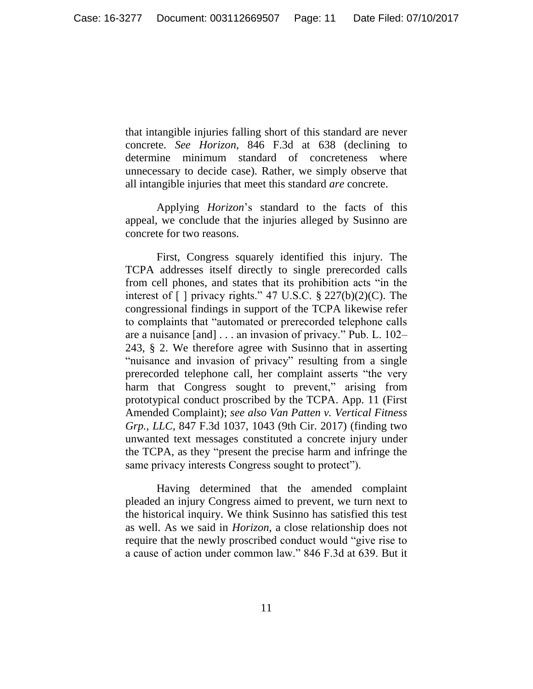that intangible injuries falling short of this standard are never concrete. *See Horizon*, 846 F.3d at 638 (declining to determine minimum standard of concreteness where unnecessary to decide case). Rather, we simply observe that all intangible injuries that meet this standard *are* concrete.

Applying *Horizon*'s standard to the facts of this appeal, we conclude that the injuries alleged by Susinno are concrete for two reasons.

First, Congress squarely identified this injury. The TCPA addresses itself directly to single prerecorded calls from cell phones, and states that its prohibition acts "in the interest of  $\lceil \cdot \rceil$  privacy rights." 47 U.S.C. § 227(b)(2)(C). The congressional findings in support of the TCPA likewise refer to complaints that "automated or prerecorded telephone calls are a nuisance [and] . . . an invasion of privacy." Pub. L. 102– 243, § 2. We therefore agree with Susinno that in asserting "nuisance and invasion of privacy" resulting from a single prerecorded telephone call, her complaint asserts "the very harm that Congress sought to prevent," arising from prototypical conduct proscribed by the TCPA. App. 11 (First Amended Complaint); *see also Van Patten v. Vertical Fitness Grp., LLC*, 847 F.3d 1037, 1043 (9th Cir. 2017) (finding two unwanted text messages constituted a concrete injury under the TCPA, as they "present the precise harm and infringe the same privacy interests Congress sought to protect").

Having determined that the amended complaint pleaded an injury Congress aimed to prevent, we turn next to the historical inquiry. We think Susinno has satisfied this test as well. As we said in *Horizon*, a close relationship does not require that the newly proscribed conduct would "give rise to a cause of action under common law." 846 F.3d at 639. But it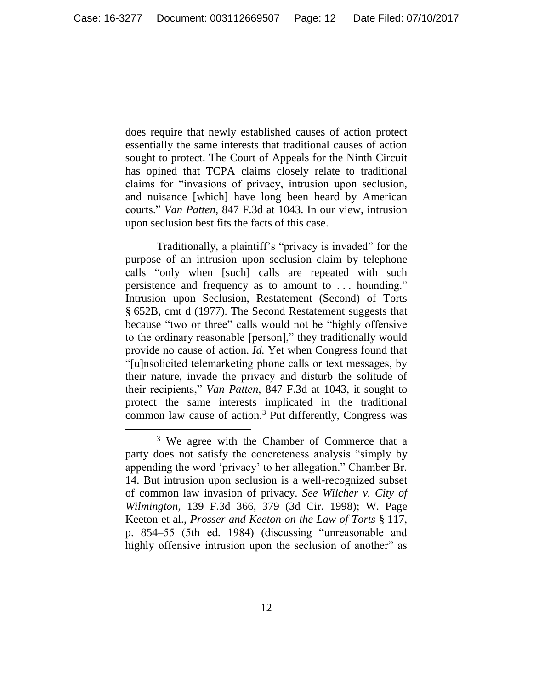does require that newly established causes of action protect essentially the same interests that traditional causes of action sought to protect. The Court of Appeals for the Ninth Circuit has opined that TCPA claims closely relate to traditional claims for "invasions of privacy, intrusion upon seclusion, and nuisance [which] have long been heard by American courts." *Van Patten*, 847 F.3d at 1043. In our view, intrusion upon seclusion best fits the facts of this case.

Traditionally, a plaintiff's "privacy is invaded" for the purpose of an intrusion upon seclusion claim by telephone calls "only when [such] calls are repeated with such persistence and frequency as to amount to . . . hounding." Intrusion upon Seclusion, Restatement (Second) of Torts § 652B, cmt d (1977). The Second Restatement suggests that because "two or three" calls would not be "highly offensive to the ordinary reasonable [person]," they traditionally would provide no cause of action. *Id.* Yet when Congress found that "[u]nsolicited telemarketing phone calls or text messages, by their nature, invade the privacy and disturb the solitude of their recipients," *Van Patten*, 847 F.3d at 1043, it sought to protect the same interests implicated in the traditional common law cause of action.<sup>3</sup> Put differently, Congress was

<sup>&</sup>lt;sup>3</sup> We agree with the Chamber of Commerce that a party does not satisfy the concreteness analysis "simply by appending the word 'privacy' to her allegation." Chamber Br. 14. But intrusion upon seclusion is a well-recognized subset of common law invasion of privacy. *See Wilcher v. City of Wilmington*, 139 F.3d 366, 379 (3d Cir. 1998); W. Page Keeton et al., *Prosser and Keeton on the Law of Torts* § 117, p. 854–55 (5th ed. 1984) (discussing "unreasonable and highly offensive intrusion upon the seclusion of another" as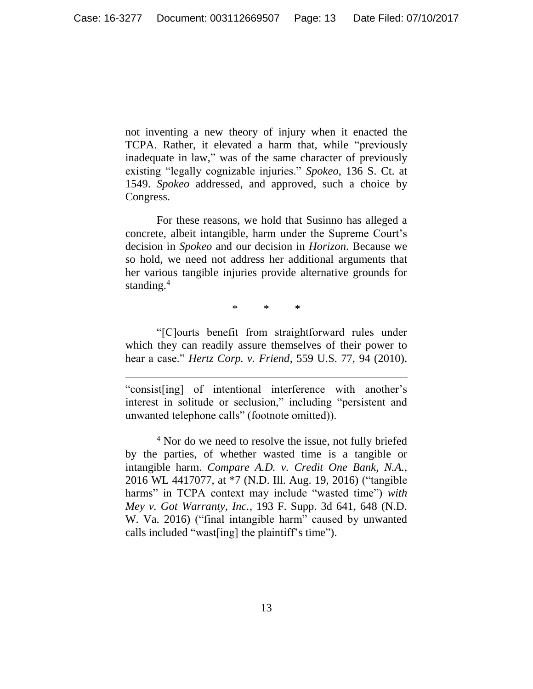not inventing a new theory of injury when it enacted the TCPA. Rather, it elevated a harm that, while "previously inadequate in law," was of the same character of previously existing "legally cognizable injuries." *Spokeo*, 136 S. Ct. at 1549. *Spokeo* addressed, and approved, such a choice by Congress.

For these reasons, we hold that Susinno has alleged a concrete, albeit intangible, harm under the Supreme Court's decision in *Spokeo* and our decision in *Horizon*. Because we so hold, we need not address her additional arguments that her various tangible injuries provide alternative grounds for standing.<sup>4</sup>

\* \* \*

"[C]ourts benefit from straightforward rules under which they can readily assure themselves of their power to hear a case." *Hertz Corp. v. Friend*, 559 U.S. 77, 94 (2010).

"consist[ing] of intentional interference with another's interest in solitude or seclusion," including "persistent and unwanted telephone calls" (footnote omitted)).

 $\overline{a}$ 

<sup>4</sup> Nor do we need to resolve the issue, not fully briefed by the parties, of whether wasted time is a tangible or intangible harm. *Compare A.D. v. Credit One Bank, N.A.*, 2016 WL 4417077, at \*7 (N.D. Ill. Aug. 19, 2016) ("tangible harms" in TCPA context may include "wasted time") *with Mey v. Got Warranty, Inc.*, 193 F. Supp. 3d 641, 648 (N.D. W. Va. 2016) ("final intangible harm" caused by unwanted calls included "wast[ing] the plaintiff's time").